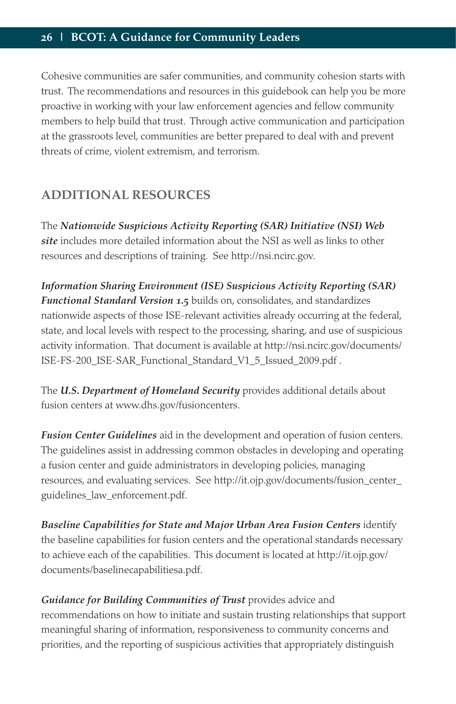Cohesive communities are safer communities, and community cohesion starts with trust. The recommendations and resources in this guidebook can help you be more proactive in working with your law enforcement agencies and fellow community members to help build that trust. Through active communication and participation at the grassroots level, communities are better prepared to deal with and prevent threats of crime, violent extremism, and terrorism.

## **ADDITIONAL RESOURCES**

The *Nationwide Suspicious Activity Reporting (SAR) Initiative (NSI) Web site* includes more detailed information about the NSI as well as links to other resources and descriptions of training. See http://nsi.ncirc.gov.

*Information Sharing Environment (ISE) Suspicious Activity Reporting (SAR) Functional Standard Version 1.5* builds on, consolidates, and standardizes nationwide aspects of those ISE-relevant activities already occurring at the federal, state, and local levels with respect to the processing, sharing, and use of suspicious activity information. That document is available at http://nsi.ncirc.gov/documents/ ISE-FS-200\_ISE-SAR\_Functional\_Standard\_V1\_5\_Issued\_2009.pdf .

The *U.S. Department of Homeland Security* provides additional details about fusion centers at www.dhs.gov/fusioncenters.

*Fusion Center Guidelines* aid in the development and operation of fusion centers. The guidelines assist in addressing common obstacles in developing and operating a fusion center and guide administrators in developing policies, managing resources, and evaluating services. See http://it.ojp.gov/documents/fusion\_center\_ guidelines\_law\_enforcement.pdf.

*Baseline Capabilities for State and Major Urban Area Fusion Centers* identify the baseline capabilities for fusion centers and the operational standards necessary to achieve each of the capabilities. This document is located at http://it.ojp.gov/ documents/baselinecapabilitiesa.pdf.

*Guidance for Building Communities of Trust* provides advice and recommendations on how to initiate and sustain trusting relationships that support meaningful sharing of information, responsiveness to community concerns and priorities, and the reporting of suspicious activities that appropriately distinguish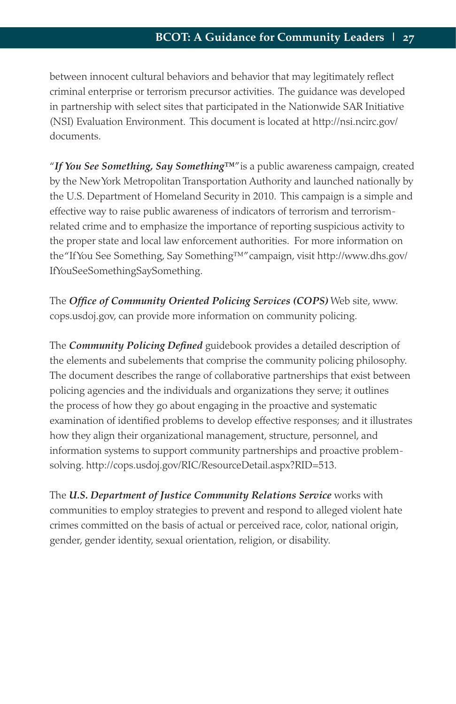between innocent cultural behaviors and behavior that may legitimately reflect criminal enterprise or terrorism precursor activities. The guidance was developed in partnership with select sites that participated in the Nationwide SAR Initiative (NSI) Evaluation Environment. This document is located at http://nsi.ncirc.gov/ documents.

"*If You See Something, Say Something™*" is a public awareness campaign, created by the New York Metropolitan Transportation Authority and launched nationally by the U.S. Department of Homeland Security in 2010. This campaign is a simple and effective way to raise public awareness of indicators of terrorism and terrorismrelated crime and to emphasize the importance of reporting suspicious activity to the proper state and local law enforcement authorities. For more information on the "If You See Something, Say Something™" campaign, visit http://www.dhs.gov/ IfYouSeeSomethingSaySomething.

The *Office of Community Oriented Policing Services (COPS)* Web site, www. cops.usdoj.gov, can provide more information on community policing.

The *Community Policing Defined* guidebook provides a detailed description of the elements and subelements that comprise the community policing philosophy. The document describes the range of collaborative partnerships that exist between policing agencies and the individuals and organizations they serve; it outlines the process of how they go about engaging in the proactive and systematic examination of identified problems to develop effective responses; and it illustrates how they align their organizational management, structure, personnel, and information systems to support community partnerships and proactive problemsolving. http://cops.usdoj.gov/RIC/ResourceDetail.aspx?RID=513.

The *U.S. Department of Justice Community Relations Service* works with communities to employ strategies to prevent and respond to alleged violent hate crimes committed on the basis of actual or perceived race, color, national origin, gender, gender identity, sexual orientation, religion, or disability.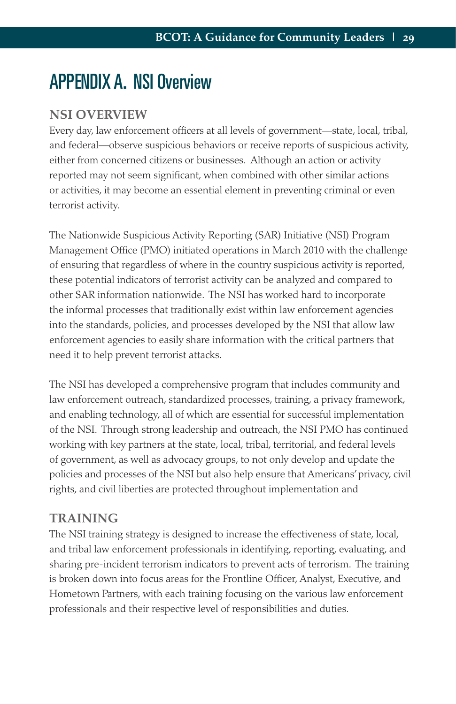## APPENDIX A. NSI Overview

## **NSI OVERVIEW**

Every day, law enforcement officers at all levels of government—state, local, tribal, and federal—observe suspicious behaviors or receive reports of suspicious activity, either from concerned citizens or businesses. Although an action or activity reported may not seem significant, when combined with other similar actions or activities, it may become an essential element in preventing criminal or even terrorist activity.

The Nationwide Suspicious Activity Reporting (SAR) Initiative (NSI) Program Management Office (PMO) initiated operations in March 2010 with the challenge of ensuring that regardless of where in the country suspicious activity is reported, these potential indicators of terrorist activity can be analyzed and compared to other SAR information nationwide. The NSI has worked hard to incorporate the informal processes that traditionally exist within law enforcement agencies into the standards, policies, and processes developed by the NSI that allow law enforcement agencies to easily share information with the critical partners that need it to help prevent terrorist attacks.

The NSI has developed a comprehensive program that includes community and law enforcement outreach, standardized processes, training, a privacy framework, and enabling technology, all of which are essential for successful implementation of the NSI. Through strong leadership and outreach, the NSI PMO has continued working with key partners at the state, local, tribal, territorial, and federal levels of government, as well as advocacy groups, to not only develop and update the policies and processes of the NSI but also help ensure that Americans' privacy, civil rights, and civil liberties are protected throughout implementation and

## **TRAINING**

The NSI training strategy is designed to increase the effectiveness of state, local, and tribal law enforcement professionals in identifying, reporting, evaluating, and sharing pre-incident terrorism indicators to prevent acts of terrorism. The training is broken down into focus areas for the Frontline Officer, Analyst, Executive, and Hometown Partners, with each training focusing on the various law enforcement professionals and their respective level of responsibilities and duties.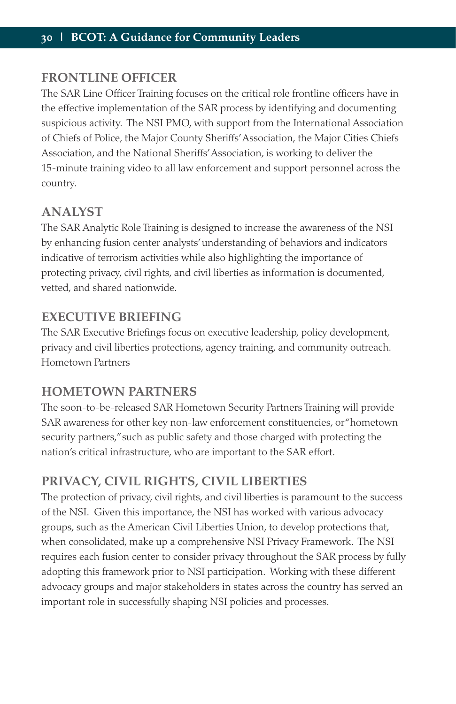## **FRONTLINE OFFICER**

The SAR Line Officer Training focuses on the critical role frontline officers have in the effective implementation of the SAR process by identifying and documenting suspicious activity. The NSI PMO, with support from the International Association of Chiefs of Police, the Major County Sheriffs' Association, the Major Cities Chiefs Association, and the National Sheriffs' Association, is working to deliver the 15-minute training video to all law enforcement and support personnel across the country.

## **ANALYST**

The SAR Analytic Role Training is designed to increase the awareness of the NSI by enhancing fusion center analysts' understanding of behaviors and indicators indicative of terrorism activities while also highlighting the importance of protecting privacy, civil rights, and civil liberties as information is documented, vetted, and shared nationwide.

## **EXECUTIVE BRIEFING**

The SAR Executive Briefings focus on executive leadership, policy development, privacy and civil liberties protections, agency training, and community outreach. Hometown Partners

## **HOMETOWN PARTNERS**

The soon-to-be-released SAR Hometown Security Partners Training will provide SAR awareness for other key non-law enforcement constituencies, or "hometown security partners," such as public safety and those charged with protecting the nation's critical infrastructure, who are important to the SAR effort.

## **PRIVACY, CIVIL RIGHTS, CIVIL LIBERTIES**

The protection of privacy, civil rights, and civil liberties is paramount to the success of the NSI. Given this importance, the NSI has worked with various advocacy groups, such as the American Civil Liberties Union, to develop protections that, when consolidated, make up a comprehensive NSI Privacy Framework. The NSI requires each fusion center to consider privacy throughout the SAR process by fully adopting this framework prior to NSI participation. Working with these different advocacy groups and major stakeholders in states across the country has served an important role in successfully shaping NSI policies and processes.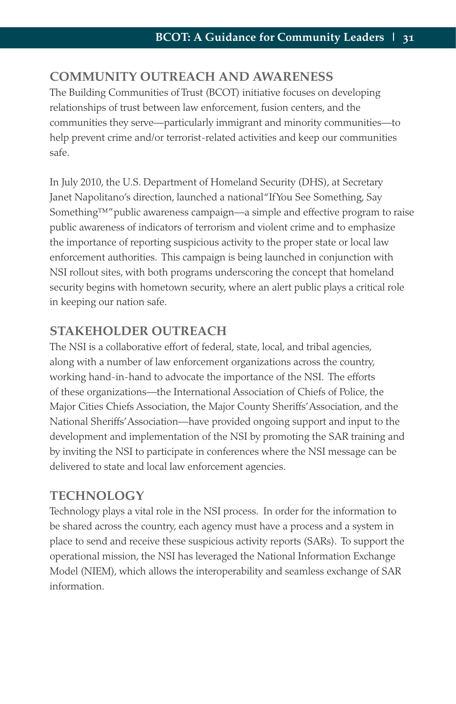## **COMMUNITY OUTREACH AND AWARENESS**

The Building Communities of Trust (BCOT) initiative focuses on developing relationships of trust between law enforcement, fusion centers, and the communities they serve—particularly immigrant and minority communities—to help prevent crime and/or terrorist-related activities and keep our communities safe.

In July 2010, the U.S. Department of Homeland Security (DHS), at Secretary Janet Napolitano's direction, launched a national "If You See Something, Say Something™" public awareness campaign—a simple and effective program to raise public awareness of indicators of terrorism and violent crime and to emphasize the importance of reporting suspicious activity to the proper state or local law enforcement authorities. This campaign is being launched in conjunction with NSI rollout sites, with both programs underscoring the concept that homeland security begins with hometown security, where an alert public plays a critical role in keeping our nation safe.

## **STAKEHOLDER OUTREACH**

The NSI is a collaborative effort of federal, state, local, and tribal agencies, along with a number of law enforcement organizations across the country, working hand-in-hand to advocate the importance of the NSI. The efforts of these organizations—the International Association of Chiefs of Police, the Major Cities Chiefs Association, the Major County Sheriffs' Association, and the National Sheriffs' Association—have provided ongoing support and input to the development and implementation of the NSI by promoting the SAR training and by inviting the NSI to participate in conferences where the NSI message can be delivered to state and local law enforcement agencies.

## **TECHNOLOGY**

Technology plays a vital role in the NSI process. In order for the information to be shared across the country, each agency must have a process and a system in place to send and receive these suspicious activity reports (SARs). To support the operational mission, the NSI has leveraged the National Information Exchange Model (NIEM), which allows the interoperability and seamless exchange of SAR information.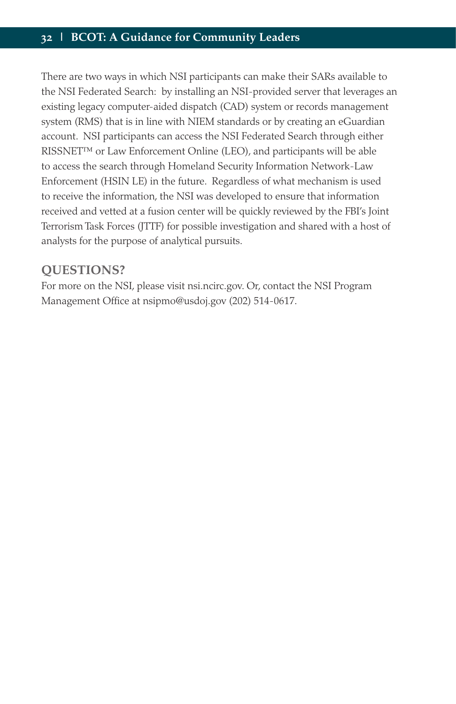There are two ways in which NSI participants can make their SARs available to the NSI Federated Search: by installing an NSI-provided server that leverages an existing legacy computer-aided dispatch (CAD) system or records management system (RMS) that is in line with NIEM standards or by creating an eGuardian account. NSI participants can access the NSI Federated Search through either RISSNET™ or Law Enforcement Online (LEO), and participants will be able to access the search through Homeland Security Information Network-Law Enforcement (HSIN LE) in the future. Regardless of what mechanism is used to receive the information, the NSI was developed to ensure that information received and vetted at a fusion center will be quickly reviewed by the FBI's Joint Terrorism Task Forces (JTTF) for possible investigation and shared with a host of analysts for the purpose of analytical pursuits.

## **QUESTIONS?**

For more on the NSI, please visit nsi.ncirc.gov. Or, contact the NSI Program Management Office at nsipmo@usdoj.gov (202) 514-0617.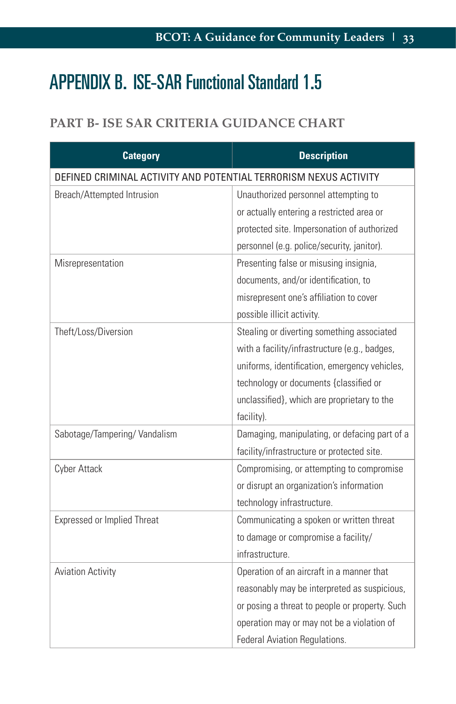# APPENDIX B. ISE-SAR Functional Standard 1.5

## **PART B- ISE SAR CRITERIA GUIDANCE CHART**

| <b>Category</b>                                                  | <b>Description</b>                             |  |
|------------------------------------------------------------------|------------------------------------------------|--|
| DEFINED CRIMINAL ACTIVITY AND POTENTIAL TERRORISM NEXUS ACTIVITY |                                                |  |
| Breach/Attempted Intrusion                                       | Unauthorized personnel attempting to           |  |
|                                                                  | or actually entering a restricted area or      |  |
|                                                                  | protected site. Impersonation of authorized    |  |
|                                                                  | personnel (e.g. police/security, janitor).     |  |
| Misrepresentation                                                | Presenting false or misusing insignia,         |  |
|                                                                  | documents, and/or identification, to           |  |
|                                                                  | misrepresent one's affiliation to cover        |  |
|                                                                  | possible illicit activity.                     |  |
| Theft/Loss/Diversion                                             | Stealing or diverting something associated     |  |
|                                                                  | with a facility/infrastructure (e.g., badges,  |  |
|                                                                  | uniforms, identification, emergency vehicles,  |  |
|                                                                  | technology or documents {classified or         |  |
|                                                                  | unclassified}, which are proprietary to the    |  |
|                                                                  | facility).                                     |  |
| Sabotage/Tampering/Vandalism                                     | Damaging, manipulating, or defacing part of a  |  |
|                                                                  | facility/infrastructure or protected site.     |  |
| Cyber Attack                                                     | Compromising, or attempting to compromise      |  |
|                                                                  | or disrupt an organization's information       |  |
|                                                                  | technology infrastructure.                     |  |
| <b>Expressed or Implied Threat</b>                               | Communicating a spoken or written threat       |  |
|                                                                  | to damage or compromise a facility/            |  |
|                                                                  | infrastructure.                                |  |
| <b>Aviation Activity</b>                                         | Operation of an aircraft in a manner that      |  |
|                                                                  | reasonably may be interpreted as suspicious,   |  |
|                                                                  | or posing a threat to people or property. Such |  |
|                                                                  | operation may or may not be a violation of     |  |
|                                                                  | Federal Aviation Regulations.                  |  |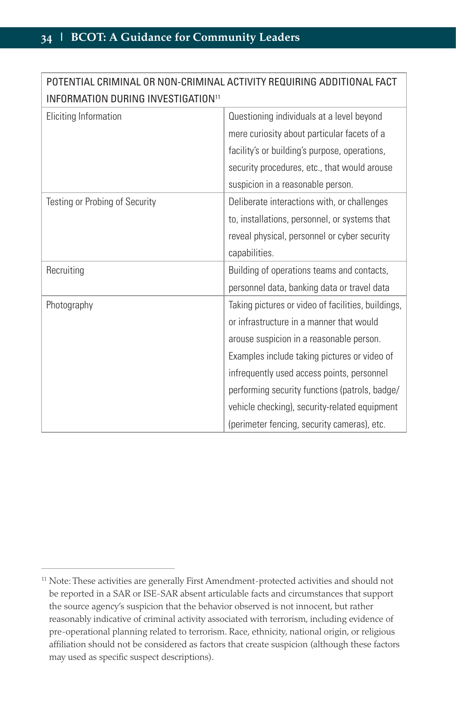| POTENTIAL CRIMINAL OR NON-CRIMINAL ACTIVITY REQUIRING ADDITIONAL FACT |                                                    |  |
|-----------------------------------------------------------------------|----------------------------------------------------|--|
| INFORMATION DURING INVESTIGATION <sup>11</sup>                        |                                                    |  |
| Eliciting Information                                                 | Questioning individuals at a level beyond          |  |
|                                                                       | mere curiosity about particular facets of a        |  |
|                                                                       | facility's or building's purpose, operations,      |  |
|                                                                       | security procedures, etc., that would arouse       |  |
|                                                                       | suspicion in a reasonable person.                  |  |
| Testing or Probing of Security                                        | Deliberate interactions with, or challenges        |  |
|                                                                       | to, installations, personnel, or systems that      |  |
|                                                                       | reveal physical, personnel or cyber security       |  |
|                                                                       | capabilities.                                      |  |
| Recruiting                                                            | Building of operations teams and contacts,         |  |
|                                                                       | personnel data, banking data or travel data        |  |
| Photography                                                           | Taking pictures or video of facilities, buildings, |  |
|                                                                       | or infrastructure in a manner that would           |  |
|                                                                       | arouse suspicion in a reasonable person.           |  |
|                                                                       | Examples include taking pictures or video of       |  |
|                                                                       | infrequently used access points, personnel         |  |
|                                                                       | performing security functions (patrols, badge/     |  |
|                                                                       | vehicle checking), security-related equipment      |  |
|                                                                       | (perimeter fencing, security cameras), etc.        |  |

<sup>&</sup>lt;sup>11</sup> Note: These activities are generally First Amendment-protected activities and should not be reported in a SAR or ISE-SAR absent articulable facts and circumstances that support the source agency's suspicion that the behavior observed is not innocent, but rather reasonably indicative of criminal activity associated with terrorism, including evidence of pre-operational planning related to terrorism. Race, ethnicity, national origin, or religious affiliation should not be considered as factors that create suspicion (although these factors may used as specific suspect descriptions).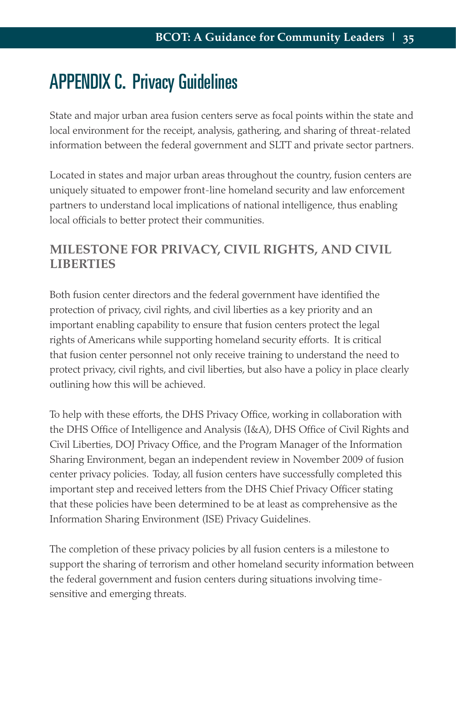## APPENDIX C. Privacy Guidelines

State and major urban area fusion centers serve as focal points within the state and local environment for the receipt, analysis, gathering, and sharing of threat-related information between the federal government and SLTT and private sector partners.

Located in states and major urban areas throughout the country, fusion centers are uniquely situated to empower front-line homeland security and law enforcement partners to understand local implications of national intelligence, thus enabling local officials to better protect their communities.

## **MILESTONE FOR PRIVACY, CIVIL RIGHTS, AND CIVIL LIBERTIES**

Both fusion center directors and the federal government have identified the protection of privacy, civil rights, and civil liberties as a key priority and an important enabling capability to ensure that fusion centers protect the legal rights of Americans while supporting homeland security efforts. It is critical that fusion center personnel not only receive training to understand the need to protect privacy, civil rights, and civil liberties, but also have a policy in place clearly outlining how this will be achieved.

To help with these efforts, the DHS Privacy Office, working in collaboration with the DHS Office of Intelligence and Analysis (I&A), DHS Office of Civil Rights and Civil Liberties, DOJ Privacy Office, and the Program Manager of the Information Sharing Environment, began an independent review in November 2009 of fusion center privacy policies. Today, all fusion centers have successfully completed this important step and received letters from the DHS Chief Privacy Officer stating that these policies have been determined to be at least as comprehensive as the Information Sharing Environment (ISE) Privacy Guidelines.

The completion of these privacy policies by all fusion centers is a milestone to support the sharing of terrorism and other homeland security information between the federal government and fusion centers during situations involving timesensitive and emerging threats.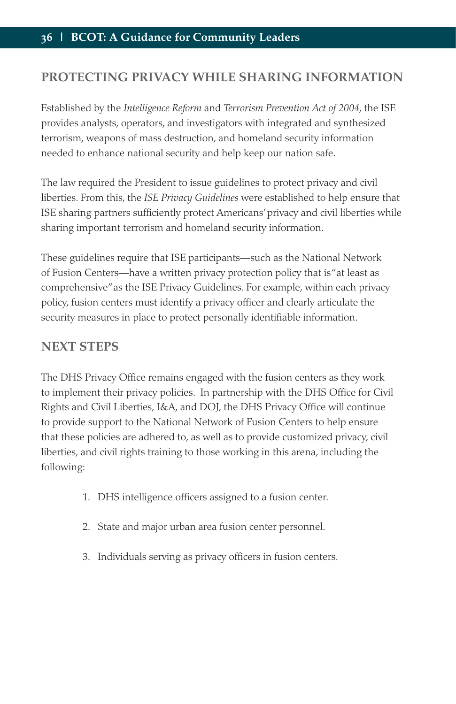## **PROTECTING PRIVACY WHILE SHARING INFORMATION**

Established by the *Intelligence Reform* and *Terrorism Prevention Act of 2004*, the ISE provides analysts, operators, and investigators with integrated and synthesized terrorism, weapons of mass destruction, and homeland security information needed to enhance national security and help keep our nation safe.

The law required the President to issue guidelines to protect privacy and civil liberties. From this, the *ISE Privacy Guidelines* were established to help ensure that ISE sharing partners sufficiently protect Americans' privacy and civil liberties while sharing important terrorism and homeland security information.

These guidelines require that ISE participants—such as the National Network of Fusion Centers—have a written privacy protection policy that is "at least as comprehensive" as the ISE Privacy Guidelines. For example, within each privacy policy, fusion centers must identify a privacy officer and clearly articulate the security measures in place to protect personally identifiable information.

## **NEXT STEPS**

The DHS Privacy Office remains engaged with the fusion centers as they work to implement their privacy policies. In partnership with the DHS Office for Civil Rights and Civil Liberties, I&A, and DOJ, the DHS Privacy Office will continue to provide support to the National Network of Fusion Centers to help ensure that these policies are adhered to, as well as to provide customized privacy, civil liberties, and civil rights training to those working in this arena, including the following:

- 1. DHS intelligence officers assigned to a fusion center.
- 2. State and major urban area fusion center personnel.
- 3. Individuals serving as privacy officers in fusion centers.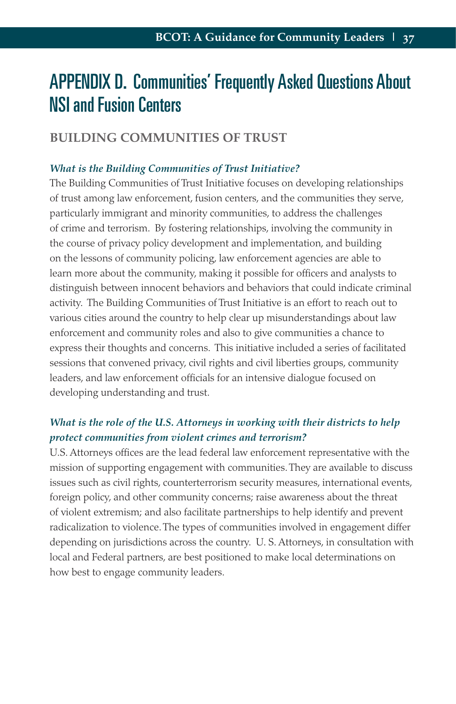## APPENDIX D. Communities' Frequently Asked Questions About NSI and Fusion Centers

## **BUILDING COMMUNITIES OF TRUST**

#### *What is the Building Communities of Trust Initiative?*

The Building Communities of Trust Initiative focuses on developing relationships of trust among law enforcement, fusion centers, and the communities they serve, particularly immigrant and minority communities, to address the challenges of crime and terrorism. By fostering relationships, involving the community in the course of privacy policy development and implementation, and building on the lessons of community policing, law enforcement agencies are able to learn more about the community, making it possible for officers and analysts to distinguish between innocent behaviors and behaviors that could indicate criminal activity. The Building Communities of Trust Initiative is an effort to reach out to various cities around the country to help clear up misunderstandings about law enforcement and community roles and also to give communities a chance to express their thoughts and concerns. This initiative included a series of facilitated sessions that convened privacy, civil rights and civil liberties groups, community leaders, and law enforcement officials for an intensive dialogue focused on developing understanding and trust.

## *What is the role of the U.S. Attorneys in working with their districts to help protect communities from violent crimes and terrorism?*

U.S. Attorneys offices are the lead federal law enforcement representative with the mission of supporting engagement with communities. They are available to discuss issues such as civil rights, counterterrorism security measures, international events, foreign policy, and other community concerns; raise awareness about the threat of violent extremism; and also facilitate partnerships to help identify and prevent radicalization to violence. The types of communities involved in engagement differ depending on jurisdictions across the country. U. S. Attorneys, in consultation with local and Federal partners, are best positioned to make local determinations on how best to engage community leaders.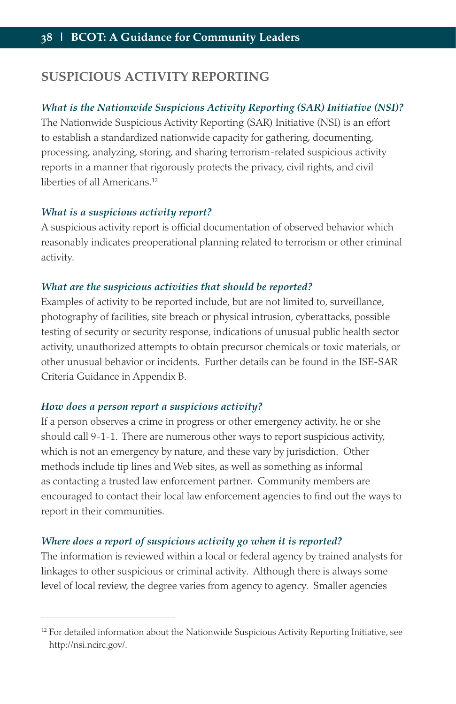## **SUSPICIOUS ACTIVITY REPORTING**

#### *What is the Nationwide Suspicious Activity Reporting (SAR) Initiative (NSI)?*

The Nationwide Suspicious Activity Reporting (SAR) Initiative (NSI) is an effort to establish a standardized nationwide capacity for gathering, documenting, processing, analyzing, storing, and sharing terrorism-related suspicious activity reports in a manner that rigorously protects the privacy, civil rights, and civil liberties of all Americans.12

#### *What is a suspicious activity report?*

A suspicious activity report is official documentation of observed behavior which reasonably indicates preoperational planning related to terrorism or other criminal activity.

#### *What are the suspicious activities that should be reported?*

Examples of activity to be reported include, but are not limited to, surveillance, photography of facilities, site breach or physical intrusion, cyberattacks, possible testing of security or security response, indications of unusual public health sector activity, unauthorized attempts to obtain precursor chemicals or toxic materials, or other unusual behavior or incidents. Further details can be found in the ISE-SAR Criteria Guidance in Appendix B.

#### *How does a person report a suspicious activity?*

If a person observes a crime in progress or other emergency activity, he or she should call 9-1-1. There are numerous other ways to report suspicious activity, which is not an emergency by nature, and these vary by jurisdiction. Other methods include tip lines and Web sites, as well as something as informal as contacting a trusted law enforcement partner. Community members are encouraged to contact their local law enforcement agencies to find out the ways to report in their communities.

#### *Where does a report of suspicious activity go when it is reported?*

The information is reviewed within a local or federal agency by trained analysts for linkages to other suspicious or criminal activity. Although there is always some level of local review, the degree varies from agency to agency. Smaller agencies

 $12$  For detailed information about the Nationwide Suspicious Activity Reporting Initiative, see http://nsi.ncirc.gov/.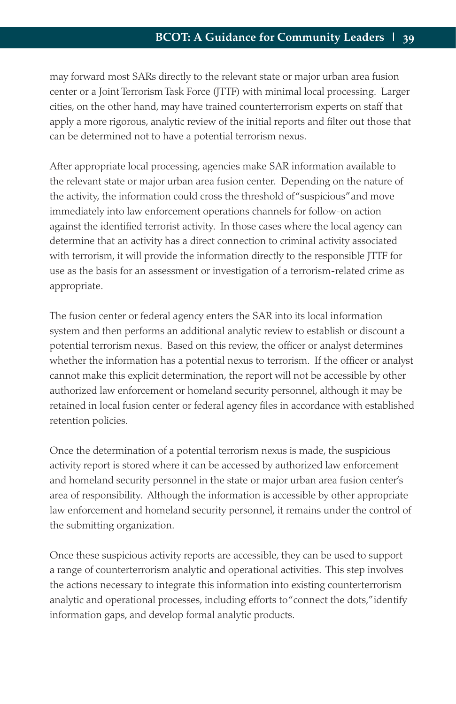may forward most SARs directly to the relevant state or major urban area fusion center or a Joint Terrorism Task Force (JTTF) with minimal local processing. Larger cities, on the other hand, may have trained counterterrorism experts on staff that apply a more rigorous, analytic review of the initial reports and filter out those that can be determined not to have a potential terrorism nexus.

After appropriate local processing, agencies make SAR information available to the relevant state or major urban area fusion center. Depending on the nature of the activity, the information could cross the threshold of "suspicious" and move immediately into law enforcement operations channels for follow-on action against the identified terrorist activity. In those cases where the local agency can determine that an activity has a direct connection to criminal activity associated with terrorism, it will provide the information directly to the responsible JTTF for use as the basis for an assessment or investigation of a terrorism-related crime as appropriate.

The fusion center or federal agency enters the SAR into its local information system and then performs an additional analytic review to establish or discount a potential terrorism nexus. Based on this review, the officer or analyst determines whether the information has a potential nexus to terrorism. If the officer or analyst cannot make this explicit determination, the report will not be accessible by other authorized law enforcement or homeland security personnel, although it may be retained in local fusion center or federal agency files in accordance with established retention policies.

Once the determination of a potential terrorism nexus is made, the suspicious activity report is stored where it can be accessed by authorized law enforcement and homeland security personnel in the state or major urban area fusion center's area of responsibility. Although the information is accessible by other appropriate law enforcement and homeland security personnel, it remains under the control of the submitting organization.

Once these suspicious activity reports are accessible, they can be used to support a range of counterterrorism analytic and operational activities. This step involves the actions necessary to integrate this information into existing counterterrorism analytic and operational processes, including efforts to "connect the dots," identify information gaps, and develop formal analytic products.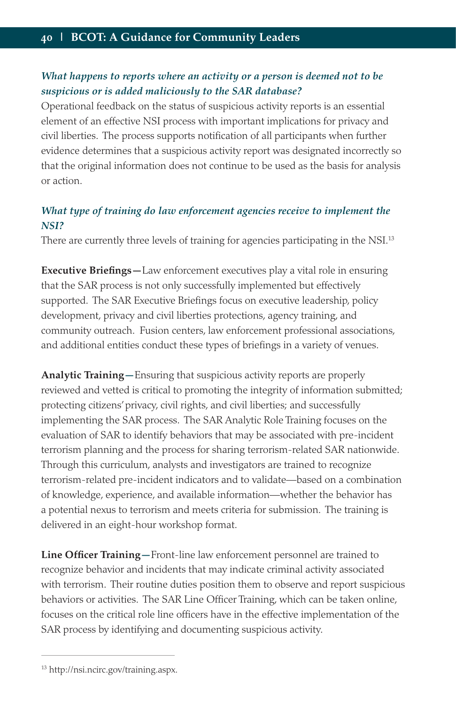## *What happens to reports where an activity or a person is deemed not to be suspicious or is added maliciously to the SAR database?*

Operational feedback on the status of suspicious activity reports is an essential element of an effective NSI process with important implications for privacy and civil liberties. The process supports notification of all participants when further evidence determines that a suspicious activity report was designated incorrectly so that the original information does not continue to be used as the basis for analysis or action.

## *What type of training do law enforcement agencies receive to implement the NSI?*

There are currently three levels of training for agencies participating in the NSI.<sup>13</sup>

**Executive Briefings—**Law enforcement executives play a vital role in ensuring that the SAR process is not only successfully implemented but effectively supported. The SAR Executive Briefings focus on executive leadership, policy development, privacy and civil liberties protections, agency training, and community outreach. Fusion centers, law enforcement professional associations, and additional entities conduct these types of briefings in a variety of venues.

**Analytic Training—**Ensuring that suspicious activity reports are properly reviewed and vetted is critical to promoting the integrity of information submitted; protecting citizens' privacy, civil rights, and civil liberties; and successfully implementing the SAR process. The SAR Analytic Role Training focuses on the evaluation of SAR to identify behaviors that may be associated with pre-incident terrorism planning and the process for sharing terrorism-related SAR nationwide. Through this curriculum, analysts and investigators are trained to recognize terrorism-related pre-incident indicators and to validate—based on a combination of knowledge, experience, and available information—whether the behavior has a potential nexus to terrorism and meets criteria for submission. The training is delivered in an eight-hour workshop format.

**Line Officer Training—**Front-line law enforcement personnel are trained to recognize behavior and incidents that may indicate criminal activity associated with terrorism. Their routine duties position them to observe and report suspicious behaviors or activities. The SAR Line Officer Training, which can be taken online, focuses on the critical role line officers have in the effective implementation of the SAR process by identifying and documenting suspicious activity.

<sup>13</sup> http://nsi.ncirc.gov/training.aspx.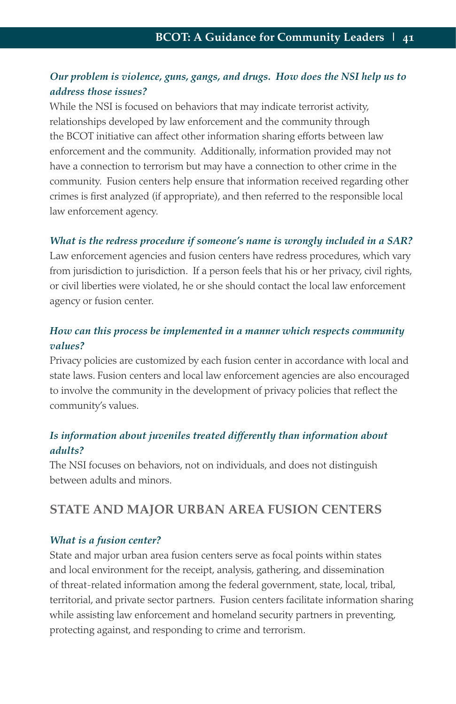## *Our problem is violence, guns, gangs, and drugs. How does the NSI help us to address those issues?*

While the NSI is focused on behaviors that may indicate terrorist activity, relationships developed by law enforcement and the community through the BCOT initiative can affect other information sharing efforts between law enforcement and the community. Additionally, information provided may not have a connection to terrorism but may have a connection to other crime in the community. Fusion centers help ensure that information received regarding other crimes is first analyzed (if appropriate), and then referred to the responsible local law enforcement agency.

#### *What is the redress procedure if someone's name is wrongly included in a SAR?*

Law enforcement agencies and fusion centers have redress procedures, which vary from jurisdiction to jurisdiction. If a person feels that his or her privacy, civil rights, or civil liberties were violated, he or she should contact the local law enforcement agency or fusion center.

## *How can this process be implemented in a manner which respects community values?*

Privacy policies are customized by each fusion center in accordance with local and state laws. Fusion centers and local law enforcement agencies are also encouraged to involve the community in the development of privacy policies that reflect the community's values.

### *Is information about juveniles treated differently than information about adults?*

The NSI focuses on behaviors, not on individuals, and does not distinguish between adults and minors.

## **STATE AND MAJOR URBAN AREA FUSION CENTERS**

#### *What is a fusion center?*

State and major urban area fusion centers serve as focal points within states and local environment for the receipt, analysis, gathering, and dissemination of threat-related information among the federal government, state, local, tribal, territorial, and private sector partners. Fusion centers facilitate information sharing while assisting law enforcement and homeland security partners in preventing, protecting against, and responding to crime and terrorism.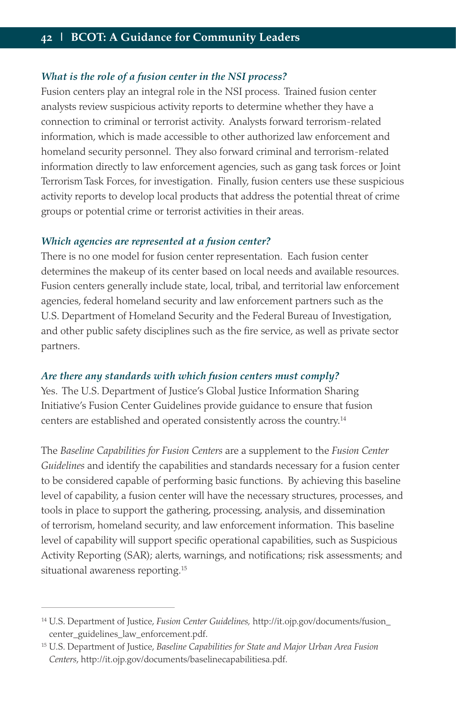#### *What is the role of a fusion center in the NSI process?*

Fusion centers play an integral role in the NSI process. Trained fusion center analysts review suspicious activity reports to determine whether they have a connection to criminal or terrorist activity. Analysts forward terrorism-related information, which is made accessible to other authorized law enforcement and homeland security personnel. They also forward criminal and terrorism-related information directly to law enforcement agencies, such as gang task forces or Joint Terrorism Task Forces, for investigation. Finally, fusion centers use these suspicious activity reports to develop local products that address the potential threat of crime groups or potential crime or terrorist activities in their areas.

#### *Which agencies are represented at a fusion center?*

There is no one model for fusion center representation. Each fusion center determines the makeup of its center based on local needs and available resources. Fusion centers generally include state, local, tribal, and territorial law enforcement agencies, federal homeland security and law enforcement partners such as the U.S. Department of Homeland Security and the Federal Bureau of Investigation, and other public safety disciplines such as the fire service, as well as private sector partners.

#### *Are there any standards with which fusion centers must comply?*

Yes. The U.S. Department of Justice's Global Justice Information Sharing Initiative's Fusion Center Guidelines provide guidance to ensure that fusion centers are established and operated consistently across the country.<sup>14</sup>

The *Baseline Capabilities for Fusion Centers* are a supplement to the *Fusion Center Guidelines* and identify the capabilities and standards necessary for a fusion center to be considered capable of performing basic functions. By achieving this baseline level of capability, a fusion center will have the necessary structures, processes, and tools in place to support the gathering, processing, analysis, and dissemination of terrorism, homeland security, and law enforcement information. This baseline level of capability will support specific operational capabilities, such as Suspicious Activity Reporting (SAR); alerts, warnings, and notifications; risk assessments; and situational awareness reporting.<sup>15</sup>

<sup>14</sup> U.S. Department of Justice, *Fusion Center Guidelines,* http://it.ojp.gov/documents/fusion\_ center\_guidelines\_law\_enforcement.pdf.

<sup>15</sup> U.S. Department of Justice, *Baseline Capabilities for State and Major Urban Area Fusion Centers*, http://it.ojp.gov/documents/baselinecapabilitiesa.pdf.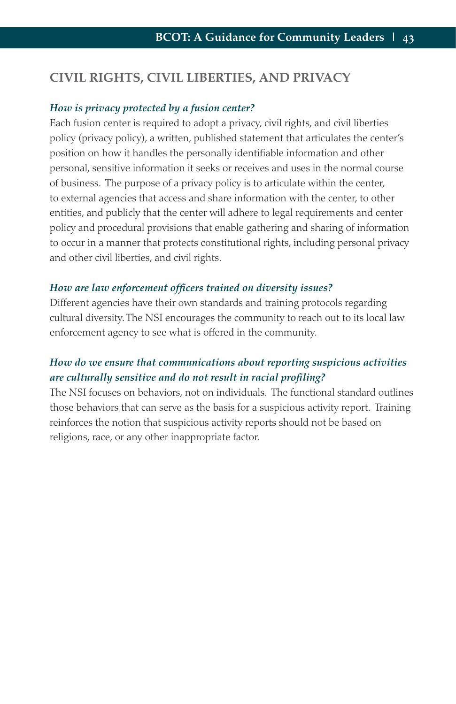## **CIVIL RIGHTS, CIVIL LIBERTIES, AND PRIVACY**

#### *How is privacy protected by a fusion center?*

Each fusion center is required to adopt a privacy, civil rights, and civil liberties policy (privacy policy), a written, published statement that articulates the center's position on how it handles the personally identifiable information and other personal, sensitive information it seeks or receives and uses in the normal course of business. The purpose of a privacy policy is to articulate within the center, to external agencies that access and share information with the center, to other entities, and publicly that the center will adhere to legal requirements and center policy and procedural provisions that enable gathering and sharing of information to occur in a manner that protects constitutional rights, including personal privacy and other civil liberties, and civil rights.

#### *How are law enforcement officers trained on diversity issues?*

Different agencies have their own standards and training protocols regarding cultural diversity. The NSI encourages the community to reach out to its local law enforcement agency to see what is offered in the community.

## *How do we ensure that communications about reporting suspicious activities are culturally sensitive and do not result in racial profiling?*

The NSI focuses on behaviors, not on individuals. The functional standard outlines those behaviors that can serve as the basis for a suspicious activity report. Training reinforces the notion that suspicious activity reports should not be based on religions, race, or any other inappropriate factor.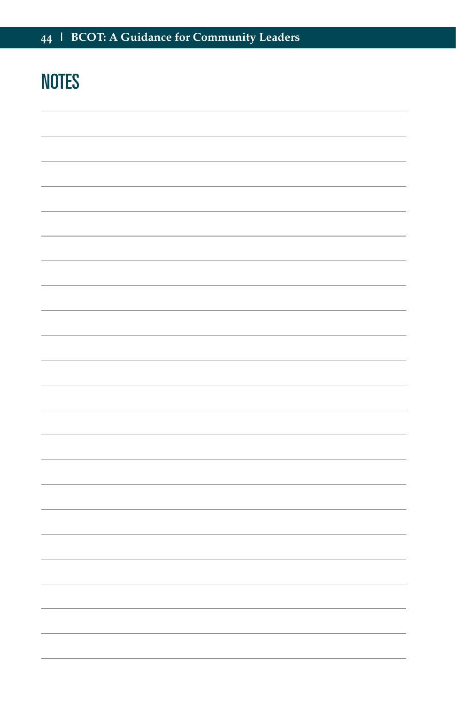# **NOTES**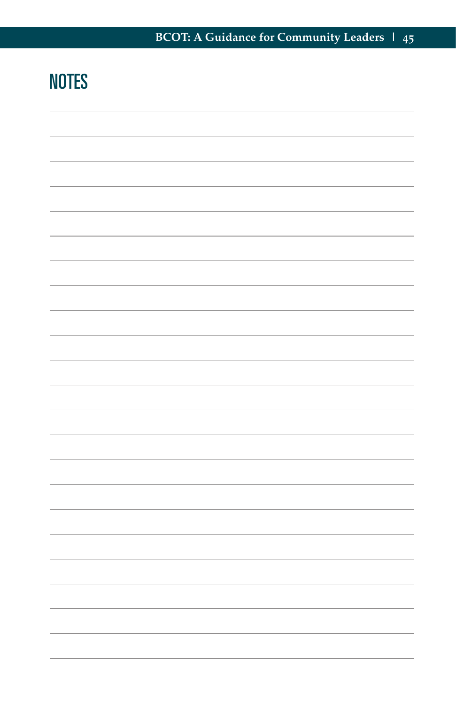# **NOTES**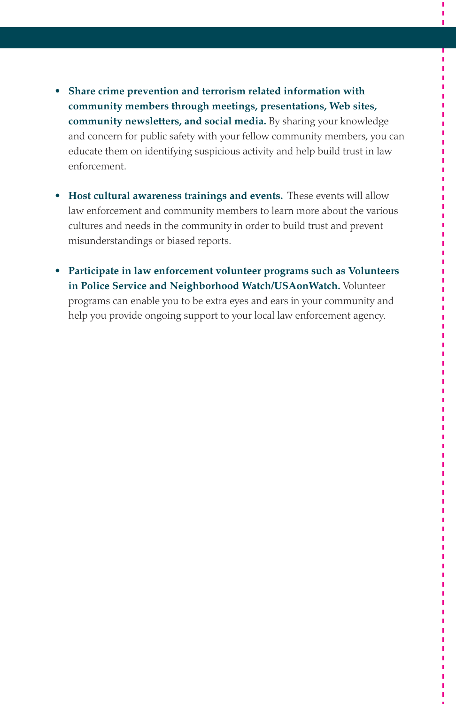- **Share crime prevention and terrorism related information with community members through meetings, presentations, Web sites, community newsletters, and social media.** By sharing your knowledge and concern for public safety with your fellow community members, you can educate them on identifying suspicious activity and help build trust in law enforcement.
- **Host cultural awareness trainings and events.** These events will allow law enforcement and community members to learn more about the various cultures and needs in the community in order to build trust and prevent misunderstandings or biased reports.
- **Participate in law enforcement volunteer programs such as Volunteers in Police Service and Neighborhood Watch/USAonWatch.** Volunteer programs can enable you to be extra eyes and ears in your community and help you provide ongoing support to your local law enforcement agency.